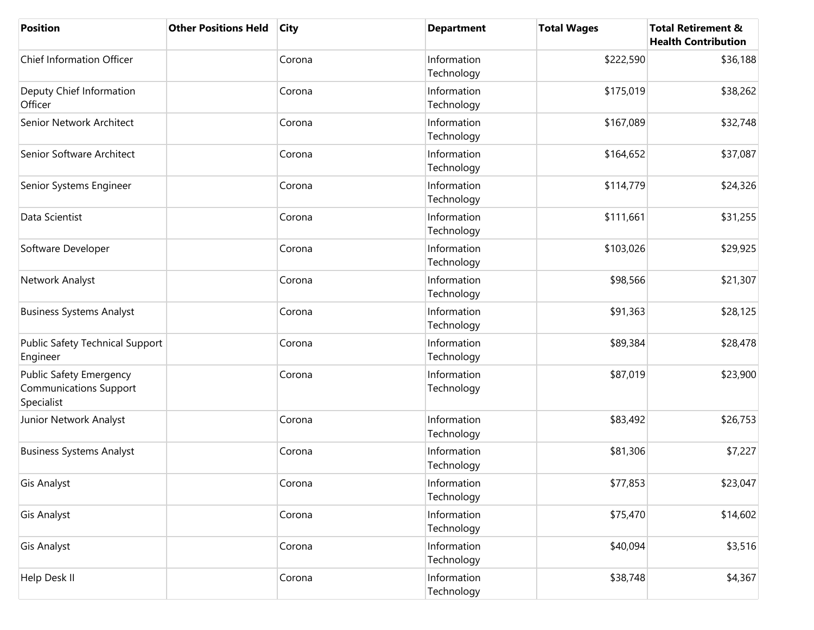| <b>Position</b>                                                               | <b>Other Positions Held</b> | <b>City</b> | <b>Department</b>         | <b>Total Wages</b> | <b>Total Retirement &amp;</b><br><b>Health Contribution</b> |
|-------------------------------------------------------------------------------|-----------------------------|-------------|---------------------------|--------------------|-------------------------------------------------------------|
| <b>Chief Information Officer</b>                                              |                             | Corona      | Information<br>Technology | \$222,590          | \$36,188                                                    |
| Deputy Chief Information<br>Officer                                           |                             | Corona      | Information<br>Technology | \$175,019          | \$38,262                                                    |
| Senior Network Architect                                                      |                             | Corona      | Information<br>Technology | \$167,089          | \$32,748                                                    |
| Senior Software Architect                                                     |                             | Corona      | Information<br>Technology | \$164,652          | \$37,087                                                    |
| Senior Systems Engineer                                                       |                             | Corona      | Information<br>Technology | \$114,779          | \$24,326                                                    |
| Data Scientist                                                                |                             | Corona      | Information<br>Technology | \$111,661          | \$31,255                                                    |
| Software Developer                                                            |                             | Corona      | Information<br>Technology | \$103,026          | \$29,925                                                    |
| Network Analyst                                                               |                             | Corona      | Information<br>Technology | \$98,566           | \$21,307                                                    |
| <b>Business Systems Analyst</b>                                               |                             | Corona      | Information<br>Technology | \$91,363           | \$28,125                                                    |
| <b>Public Safety Technical Support</b><br>Engineer                            |                             | Corona      | Information<br>Technology | \$89,384           | \$28,478                                                    |
| <b>Public Safety Emergency</b><br><b>Communications Support</b><br>Specialist |                             | Corona      | Information<br>Technology | \$87,019           | \$23,900                                                    |
| Junior Network Analyst                                                        |                             | Corona      | Information<br>Technology | \$83,492           | \$26,753                                                    |
| <b>Business Systems Analyst</b>                                               |                             | Corona      | Information<br>Technology | \$81,306           | \$7,227                                                     |
| <b>Gis Analyst</b>                                                            |                             | Corona      | Information<br>Technology | \$77,853           | \$23,047                                                    |
| <b>Gis Analyst</b>                                                            |                             | Corona      | Information<br>Technology | \$75,470           | \$14,602                                                    |
| <b>Gis Analyst</b>                                                            |                             | Corona      | Information<br>Technology | \$40,094           | \$3,516                                                     |
| Help Desk II                                                                  |                             | Corona      | Information<br>Technology | \$38,748           | \$4,367                                                     |